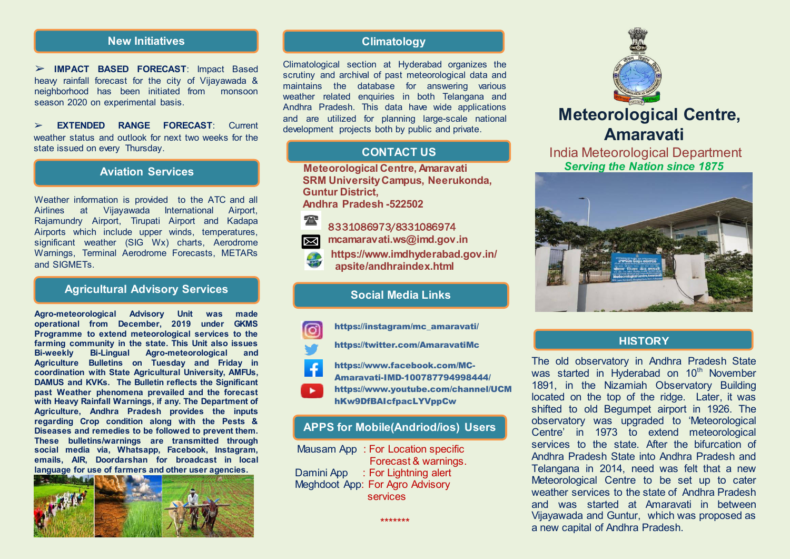### **New Initiatives Climatology**

➢ **IMPACT BASED FORECAST**: Impact Based heavy rainfall forecast for the city of Vijayawada & neighborhood has been initiated from monsoon season 2020 on experimental basis.

➢ **EXTENDED RANGE FORECAST**: Current weather status and outlook for next two weeks for the state issued on every Thursday.

#### **Aviation Services**

Weather information is provided to the ATC and all Airlines at Vijayawada International Airport, Rajamundry Airport, Tirupati Airport and Kadapa Airports which include upper winds, temperatures, significant weather (SIG Wx) charts, Aerodrome Warnings, Terminal Aerodrome Forecasts, METARs and SIGMETs.

# **Agricultural Advisory Services**

**Agro-meteorological Advisory Unit was made operational from December, 2019 under GKMS Programme to extend meteorological services to the farming community in the state. This Unit also issues Bi-weekly Bi-Lingual Agro-meteorological and Agriculture Bulletins on Tuesday and Friday in coordination with State Agricultural University, AMFUs, DAMUS and KVKs. The Bulletin reflects the Significant past Weather phenomena prevailed and the forecast with Heavy Rainfall Warnings, if any. The Department of Agriculture, Andhra Pradesh provides the inputs regarding Crop condition along with the Pests & Diseases and remedies to be followed to prevent them. These bulletins/warnings are transmitted through social media via, Whatsapp, Facebook, Instagram, emails, AIR, Doordarshan for broadcast in local language for use of farmers and other user agencies.** 



Climatological section at Hyderabad organizes the scrutiny and archival of past meteorological data and maintains the database for answering various weather related enquiries in both Telangana and Andhra Pradesh. This data have wide applications and are utilized for planning large-scale national development projects both by public and private.

# **CONTACT US**

 **Meteorological Centre, Amaravati SRM University Campus, Neerukonda, Guntur District,**

 **Andhra Pradesh -522502**



8331086973/8331086974 **mcamaravati.ws@imd.gov.in**

**[https://www.imdhyderabad.gov.in/](https://www.imdhyderabad.gov.in/apsite/andhraindex.html)   [apsite/andhraindex.html](https://www.imdhyderabad.gov.in/apsite/andhraindex.html)**

### **Social Media Links**

https://instagram/mc\_amaravati/

<https://twitter.com/AmaravatiMc>

- [https://www.facebook.com/MC-](https://www.facebook.com/MC-Amaravati-IMD-100787794998444/)
- [Amaravati-IMD-100787794998444/](https://www.facebook.com/MC-Amaravati-IMD-100787794998444/) [https://www.youtube.com/channel/UCM](https://www.youtube.com/channel/UCMhKw9DfBAIcfpacLYVppCw) [hKw9DfBAIcfpacLYVppCw](https://www.youtube.com/channel/UCMhKw9DfBAIcfpacLYVppCw)

#### **APPS for Mobile(Andriod/ios) Users**

 Mausam App : For Location specific Forecast & warnings. Damini App : For Lightning alert Meghdoot App: For Agro Advisory services

\*\*\*\*\*\*\*



# **Meteorological Centre, Amaravati**

 India Meteorological Department *Serving the Nation since 1875* 



#### **HISTORY**

The old observatory in Andhra Pradesh State was started in Hyderabad on 10<sup>th</sup> November 1891, in the Nizamiah Observatory Building located on the top of the ridge. Later, it was shifted to old Begumpet airport in 1926. The observatory was upgraded to 'Meteorological Centre' in 1973 to extend meteorological services to the state. After the bifurcation of Andhra Pradesh State into Andhra Pradesh and Telangana in 2014, need was felt that a new Meteorological Centre to be set up to cater weather services to the state of Andhra Pradesh and was started at Amaravati in between Vijayawada and Guntur, which was proposed as a new capital of Andhra Pradesh.